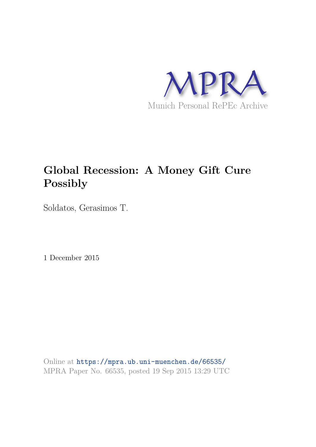

# **Global Recession: A Money Gift Cure Possibly**

Soldatos, Gerasimos T.

1 December 2015

Online at https://mpra.ub.uni-muenchen.de/66535/ MPRA Paper No. 66535, posted 19 Sep 2015 13:29 UTC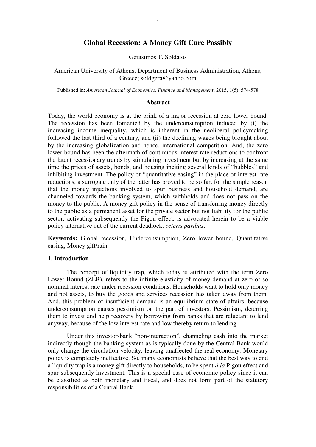# **Global Recession: A Money Gift Cure Possibly**

Gerasimos T. Soldatos

American University of Athens, Department of Business Administration, Athens, Greece; soldgera@yahoo.com

Published in: *American Journal of Economics, Finance and Management*, 2015, 1(5), 574-578

#### **Abstract**

Today, the world economy is at the brink of a major recession at zero lower bound. The recession has been fomented by the underconsumption induced by (i) the increasing income inequality, which is inherent in the neoliberal policymaking followed the last third of a century, and (ii) the declining wages being brought about by the increasing globalization and hence, international competition. And, the zero lower bound has been the aftermath of continuous interest rate reductions to confront the latent recessionary trends by stimulating investment but by increasing at the same time the prices of assets, bonds, and housing inciting several kinds of "bubbles" and inhibiting investment. The policy of "quantitative easing" in the place of interest rate reductions, a surrogate only of the latter has proved to be so far, for the simple reason that the money injections involved to spur business and household demand, are channeled towards the banking system, which withholds and does not pass on the money to the public. A money gift policy in the sense of transferring money directly to the public as a permanent asset for the private sector but not liability for the public sector, activating subsequently the Pigou effect, is advocated herein to be a viable policy alternative out of the current deadlock, *ceteris paribus*.

**Keywords:** Global recession, Underconsumption, Zero lower bound, Quantitative easing, Money gift/rain

#### **1. Introduction**

The concept of liquidity trap, which today is attributed with the term Zero Lower Bound (ZLB), refers to the infinite elasticity of money demand at zero or so nominal interest rate under recession conditions. Households want to hold only money and not assets, to buy the goods and services recession has taken away from them. And, this problem of insufficient demand is an equilibrium state of affairs, because underconsumption causes pessimism on the part of investors. Pessimism, deterring them to invest and help recovery by borrowing from banks that are reluctant to lend anyway, because of the low interest rate and low thereby return to lending.

Under this investor-bank "non-interaction", channeling cash into the market indirectly though the banking system as is typically done by the Central Bank would only change the circulation velocity, leaving unaffected the real economy: Monetary policy is completely ineffective. So, many economists believe that the best way to end a liquidity trap is a money gift directly to households, to be spent *à la* Pigou effect and spur subsequently investment. This is a special case of economic policy since it can be classified as both monetary and fiscal, and does not form part of the statutory responsibilities of a Central Bank.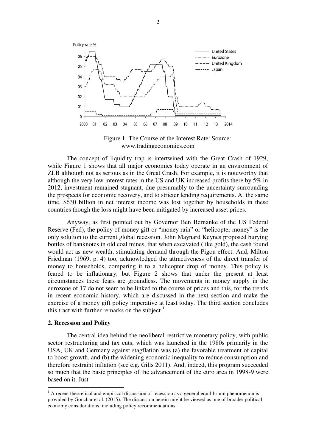

Figure 1: The Course of the Interest Rate: Source: www.tradingeconomics.com

The concept of liquidity trap is intertwined with the Great Crash of 1929, while Figure 1 shows that all major economies today operate in an environment of ZLB although not as serious as in the Great Crash. For example, it is noteworthy that although the very low interest rates in the US and UK increased profits there by 5% in 2012, investment remained stagnant, due presumably to the uncertainty surrounding the prospects for economic recovery, and to stricter lending requirements. At the same time, \$630 billion in net interest income was lost together by households in these countries though the loss might have been mitigated by increased asset prices.

Anyway, as first pointed out by Governor Ben Bernanke of the US Federal Reserve (Fed), the policy of money gift or "money rain" or "helicopter money" is the only solution to the current global recession. John Maynard Keynes proposed burying bottles of banknotes in old coal mines, that when excavated (like gold), the cash found would act as new wealth, stimulating demand through the Pigou effect. And, Milton Friedman (1969, p. 4) too, acknowledged the attractiveness of the direct transfer of money to households, comparing it to a helicopter drop of money. This policy is feared to be inflationary, but Figure 2 shows that under the present at least circumstances these fears are groundless. The movements in money supply in the eurozone of 17 do not seem to be linked to the course of prices and this, for the trends in recent economic history, which are discussed in the next section and make the exercise of a money gift policy imperative at least today. The third section concludes this tract with further remarks on the subject.<sup>1</sup>

#### **2. Recession and Policy**

The central idea behind the neoliberal restrictive monetary policy, with public sector restructuring and tax cuts, which was launched in the 1980s primarily in the USA, UK and Germany against stagflation was (a) the favorable treatment of capital to boost growth, and (b) the widening economic inequality to reduce consumption and therefore restraint inflation (see e.g. Gills 2011). And, indeed, this program succeeded so much that the basic principles of the advancement of the euro area in 1998-9 were based on it. Just

<sup>&</sup>lt;sup>1</sup> A recent theoretical and empirical discussion of recession as a general equilibrium phenomenon is provided by Gonchar et al. (2015). The discussion herein might be viewed as one of broader political economy considerations, including policy recommendations.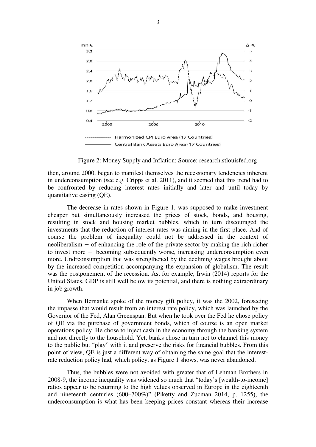

Figure 2: Money Supply and Inflation: Source: research.stlouisfed.org

then, around 2000, began to manifest themselves the recessionary tendencies inherent in underconsumption (see e.g. Cripps et al. 2011), and it seemed that this trend had to be confronted by reducing interest rates initially and later and until today by quantitative easing (QE).

The decrease in rates shown in Figure 1, was supposed to make investment cheaper but simultaneously increased the prices of stock, bonds, and housing, resulting in stock and housing market bubbles, which in turn discouraged the investments that the reduction of interest rates was aiming in the first place. And of course the problem of inequality could not be addressed in the context of neoliberalism – of enhancing the role of the private sector by making the rich richer to invest more − becoming subsequently worse, increasing underconsumption even more. Undrconsumption that was strengthened by the declining wages brought about by the increased competition accompanying the expansion of globalism. The result was the postponement of the recession. As, for example, Irwin (2014) reports for the United States, GDP is still well below its potential, and there is nothing extraordinary in job growth.

When Bernanke spoke of the money gift policy, it was the 2002, foreseeing the impasse that would result from an interest rate policy, which was launched by the Governor of the Fed, Alan Greenspan. But when he took over the Fed he chose policy of QE via the purchase of government bonds, which of course is an open market operations policy. He chose to inject cash in the economy through the banking system and not directly to the household. Yet, banks chose in turn not to channel this money to the public but "play" with it and preserve the risks for financial bubbles. From this point of view, QE is just a different way of obtaining the same goal that the interestrate reduction policy had, which policy, as Figure 1 shows, was never abandoned.

Thus, the bubbles were not avoided with greater that of Lehman Brothers in 2008-9, the income inequality was widened so much that "today's [wealth-to-income] ratios appear to be returning to the high values observed in Europe in the eighteenth and nineteenth centuries (600–700%)" (Piketty and Zucman 2014, p. 1255), the underconsumption is what has been keeping prices constant whereas their increase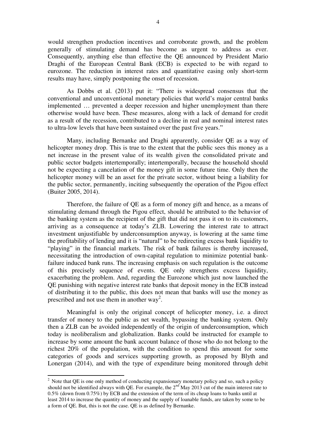would strengthen production incentives and corroborate growth, and the problem generally of stimulating demand has become as urgent to address as ever. Consequently, anything else than effective the QE announced by President Mario Draghi of the European Central Bank (ECB) is expected to be with regard to eurozone. The reduction in interest rates and quantitative easing only short-term results may have, simply postponing the onset of recession.

As Dobbs et al. (2013) put it: "There is widespread consensus that the conventional and unconventional monetary policies that world's major central banks implemented … prevented a deeper recession and higher unemployment than there otherwise would have been. These measures, along with a lack of demand for credit as a result of the recession, contributed to a decline in real and nominal interest rates to ultra-low levels that have been sustained over the past five years."

Many, including Bernanke and Draghi apparently, consider QE as a way of helicopter money drop. This is true to the extent that the public sees this money as a net increase in the present value of its wealth given the consolidated private and public sector budgets intertemporally; intertemporally, because the household should not be expecting a cancelation of the money gift in some future time. Only then the helicopter money will be an asset for the private sector, without being a liability for the public sector, permanently, inciting subsequently the operation of the Pigou effect (Buiter 2005, 2014).

Therefore, the failure of QE as a form of money gift and hence, as a means of stimulating demand through the Pigou effect, should be attributed to the behavior of the banking system as the recipient of the gift that did not pass it on to its customers, arriving as a consequence at today's ZLB. Lowering the interest rate to attract investment unjustifiable by underconsumption anyway, is lowering at the same time the profitability of lending and it is "natural" to be redirecting excess bank liquidity to "playing" in the financial markets. The risk of bank failures is thereby increased, necessitating the introduction of own-capital regulation to minimize potential bankfailure induced bank runs. The increasing emphasis on such regulation is the outcome of this precisely sequence of events. QE only strengthens excess liquidity, exacerbating the problem. And, regarding the Eurozone which just now launched the QE punishing with negative interest rate banks that deposit money in the ECB instead of distributing it to the public, this does not mean that banks will use the money as prescribed and not use them in another way<sup>2</sup>.

Meaningful is only the original concept of helicopter money, i.e. a direct transfer of money to the public as net wealth, bypassing the banking system. Only then a ZLB can be avoided independently of the origin of underconsumption, which today is neoliberalism and globalization. Banks could be instructed for example to increase by some amount the bank account balance of those who do not belong to the richest 20% of the population, with the condition to spend this amount for some categories of goods and services supporting growth, as proposed by Blyth and Lonergan (2014), and with the type of expenditure being monitored through debit

-

 $2$  Note that QE is one only method of conducting expansionary monetary policy and so, such a policy should not be identified always with QE. For example, the  $2<sup>nd</sup>$  May 2013 cut of the main interest rate to 0.5% (down from 0.75%) by ECB and the extension of the term of its cheap loans to banks until at least 2014 to increase the quantity of money and the supply of loanable funds, are taken by some to be a form of QE. But, this is not the case. QE is as defined by Bernanke.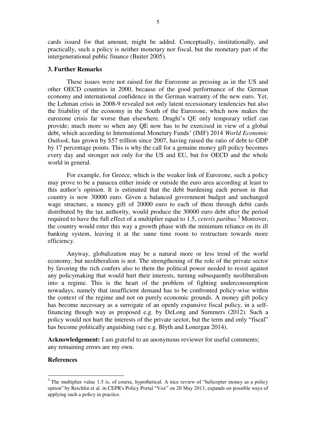cards issued for that amount, might be added. Conceptually, institutionally, and practically, such a policy is neither monetary nor fiscal, but the monetary part of the intergenerational public finance (Buiter 2005).

## **3. Further Remarks**

These issues were not raised for the Eurozone as pressing as in the US and other OECD countries in 2000, because of the good performance of the German economy and international confidence in the German warranty of the new euro. Yet, the Lehman crisis in 2008-9 revealed not only latent recessionary tendencies but also the friability of the economy in the South of the Eurozone, which now makes the eurozone crisis far worse than elsewhere. Draghi's QE only temporary relief can provide; much more so when any QE now has to be exercised in view of a global debt, which according to International Monetary Funds' (IMF) 2014 *World Economic Outlook*, has grown by \$57 trillion since 2007, having raised the ratio of debt to GDP by 17 percentage points. This is why the call for a genuine money gift policy becomes every day and stronger not only for the US and EU, but for OECD and the whole world in general.

For example, for Greece, which is the weaker link of Eurozone, such a policy may prove to be a panacea either inside or outside the euro area according at least to this author's opinion. It is estimated that the debt burdening each person in that country is now 30000 euro. Given a balanced government budget and unchanged wage structure, a money gift of 20000 euro to each of them through debit cards distributed by the tax authority, would produce the 30000 euro debt after the period required to have the full effect of a multiplier equal to 1.5, *ceteris paribus*. 3 Moreover, the country would enter this way a growth phase with the minimum reliance on its ill banking system, leaving it at the same time room to restructure towards more efficiency.

Anyway, globalization may be a natural more or less trend of the world economy, but neoliberalism is not. The strengthening of the role of the private sector by favoring the rich confers also to them the political power needed to resist against any policymaking that would hurt their interests, turning subsequently neoliberalism into a regime. This is the heart of the problem of fighting underconsumption nowadays, namely that insufficient demand has to be confronted policy-wise within the context of the regime and not on purely economic grounds. A money gift policy has become necessary as a surrogate of an openly expansive fiscal policy, in a selffinancing though way as proposed e.g. by DeLong and Summers (2012). Such a policy would not hurt the interests of the private sector, but the term and only "fiscal" has become politically anguishing (see e.g. Blyth and Lonergan 2014).

**Acknowledgement:** I am grateful to an anonymous reviewer for useful comments; any remaining errors are my own.

## **References**

-

 $3$  The multiplier value 1.5 is, of course, hypothetical. A nice review of "helicopter money as a policy option" by Reichlin et al. in CEPR's Policy Portal "Vox" on 20 May 2013, expands on possible ways of applying such a policy in practice.